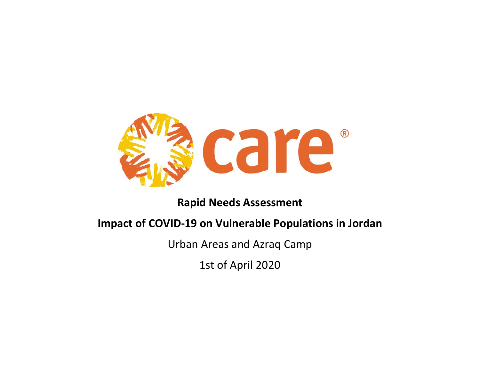

# **Rapid Needs Assessment**

# **Impact of COVID‐19 on Vulnerable Populations in Jordan**

Urban Areas and Azraq Camp

1st of April 2020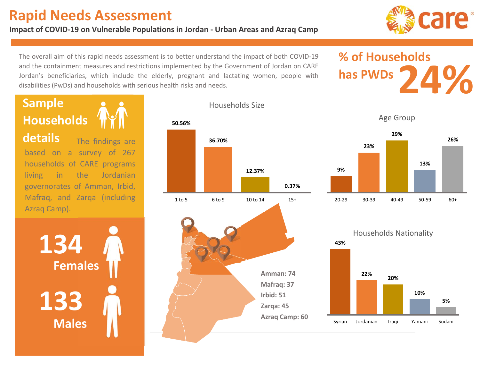# **Rapid Needs Assessment**

### **Impact of COVID‐19 on Vulnerable Populations in Jordan ‐ Urban Areas and Azraq Camp**



 and the containment measures and restrictions implemented by the Government of Jordan on CARE The overall aim of this rapid needs assessment is to better understand the impact of both COVID‐19 Jordan's beneficiaries, which include the elderly, pregnant and lactating women, people with disabilities (PwDs) and households with serious health risks and needs.

# **% of Households has PWDs**

. . . --**Sample Households**  The findings are based on <sup>a</sup> survey of 267 households of CARE programs living in the Jordanian governorates of Amman, Irbid, Mafraq, and Zarqa (including Azraq Camp). **134133Females Males**

**Amman: 74 Mafraq: 37 Irbid: 51 Zarqa: 45 Azraq Camp: 60 50.56%36.70%12.37%0.37%**1 to 5 6 to 9 10 to 14 15+

# Households Size

Age Group



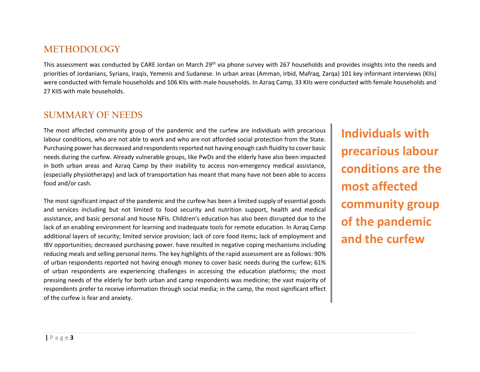# **METHODOLOGY**

This assessment was conducted by CARE Jordan on March 29<sup>th</sup> via phone survey with 267 households and provides insights into the needs and priorities of Jordanians, Syrians, Iraqis, Yemenis and Sudanese. In urban areas (Amman, Irbid, Mafraq, Zarqa) 101 key informant interviews (KIIs) were conducted with female households and 106 KIIs with male households. In Azraq Camp, 33 KIIs were conducted with female households and 27 KIIS with male households.

# **SUMMARY OF NEEDS**

The most affected community group of the pandemic and the curfew are individuals with precarious labour conditions, who are not able to work and who are not afforded social protection from the State. Purchasing power has decreased and respondents reported not having enough cash fluidity to cover basic needs during the curfew. Already vulnerable groups, like PwDs and the elderly have also been impacted in both urban areas and Azraq Camp by their inability to access non-emergency medical assistance, (especially physiotherapy) and lack of transportation has meant that many have not been able to access food and/or cash.

The most significant impact of the pandemic and the curfew has been a limited supply of essential goods and services including but not limited to food security and nutrition support, health and medical assistance, and basic personal and house NFIs. Children's education has also been disrupted due to the lack of an enabling environment for learning and inadequate tools for remote education. In Azraq Camp additional layers of security; limited service provision; lack of core food items; lack of employment and IBV opportunities; decreased purchasing power. have resulted in negative coping mechanisms including reducing meals and selling personal items. The key highlights of the rapid assessment are as follows: 90% of urban respondents reported not having enough money to cover basic needs during the curfew; 61% of urban respondents are experiencing challenges in accessing the education platforms; the most pressing needs of the elderly for both urban and camp respondents was medicine; the vast majority of respondents prefer to receive information through social media; in the camp, the most significant effect of the curfew is fear and anxiety.

**Individuals with precarious labour conditions are the most affected community group of the pandemic and the curfew**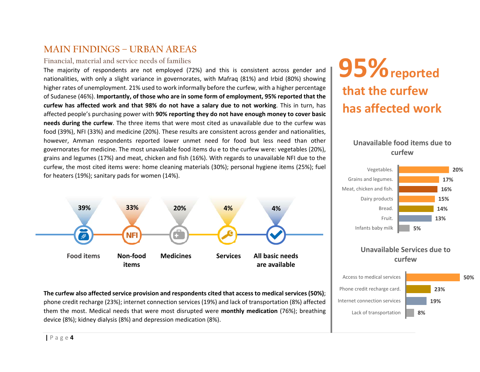# **MAIN FINDINGS – URBAN AREAS**

#### **Financial, material and service needs of families**

The majority of respondents are not employed (72%) and this is consistent across gender and nationalities, with only a slight variance in governorates, with Mafraq (81%) and Irbid (80%) showing higher rates of unemployment. 21% used to work informally before the curfew, with a higher percentage of Sudanese (46%). **Importantly, of those who are in some form of employment, 95% reported that the**  curfew has affected work and that 98% do not have a salary due to not working. This in turn, has affected people's purchasing power with **90% reporting they do not have enough money to cover basic needs during the curfew**. The three items that were most cited as unavailable due to the curfew was food (39%), NFI (33%) and medicine (20%). These results are consistent across gender and nationalities, however, Amman respondents reported lower unmet need for food but less need than other governorates for medicine. The most unavailable food items du e to the curfew were: vegetables (20%), grains and legumes (17%) and meat, chicken and fish (16%). With regards to unavailable NFI due to the curfew, the most cited items were: home cleaning materials (30%); personal hygiene items (25%); fuel for heaters (19%); sanitary pads for women (14%).



**The curfew also affected service provision and respondents cited that access to medical services (50%)**; phone credit recharge (23%); internet connection services (19%) and lack of transportation (8%) affected them the most. Medical needs that were most disrupted were **monthly medication** (76%); breathing device (8%); kidney dialysis (8%) and depression medication (8%).

# **95%** reported **that the curfew has affected work**

### **Unavailable food items due to curfew**



### **Unavailable Services due to curfew**

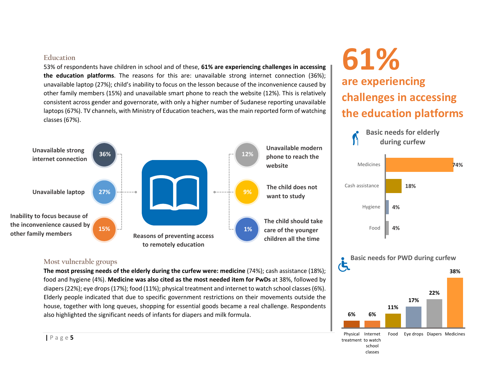#### **Education**

53% of respondents have children in school and of these, **61% are experiencing challenges in accessing the education platforms**. The reasons for this are: unavailable strong internet connection (36%); unavailable laptop (27%); child's inability to focus on the lesson because of the inconvenience caused by other family members (15%) and unavailable smart phone to reach the website (12%). This is relatively consistent across gender and governorate, with only a higher number of Sudanese reporting unavailable laptops (67%). TV channels, with Ministry of Education teachers, was the main reported form of watching classes (67%).



### **Most vulnerable groups**

**The most pressing needs of the elderly during the curfew were: medicine** (74%); cash assistance (18%); food and hygiene (4%). **Medicine was also cited as the most needed item for PwDs** at 38%, followed by diapers (22%); eye drops (17%); food (11%); physical treatment and internet to watch school classes (6%). Elderly people indicated that due to specific government restrictions on their movements outside the house, together with long queues, shopping for essential goods became a real challenge. Respondents also highlighted the significant needs of infants for diapers and milk formula.

# **are experiencing challenges in accessing the education platforms 61%**

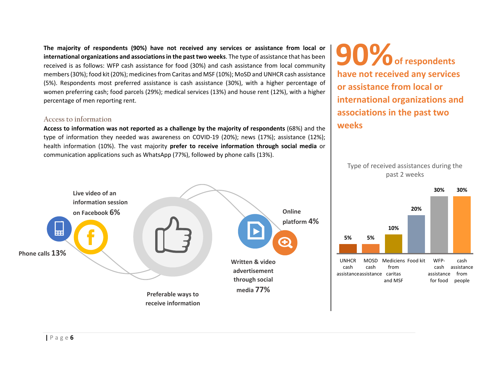The majority of respondents (90%) have not received any services or assistance from local or **international organizations and associations in the past two weeks**. The type of assistance that has been received is as follows: WFP cash assistance for food (30%) and cash assistance from local community members (30%); food kit (20%); medicines from Caritas and MSF (10%); MoSD and UNHCR cash assistance (5%). Respondents most preferred assistance is cash assistance (30%), with <sup>a</sup> higher percentage of women preferring cash; food parcels (29%); medical services (13%) and house rent (12%), with a higher percentage of men reporting rent.

#### **Access to information**

**Access to information was not reported as a challenge by the majority of respondents** (68%) and the type of information they needed was awareness on COVID-19 (20%); news (17%); assistance (12%); health information (10%). The vast majority **prefer to receive information through social media**  or communication applications such as WhatsApp (77%), followed by phone calls (13%).



 $90%$  of respondents **have not received any services or assistance from local or international organizations and associations in the past two weeks**

Type of received assistances during the past 2 weeks

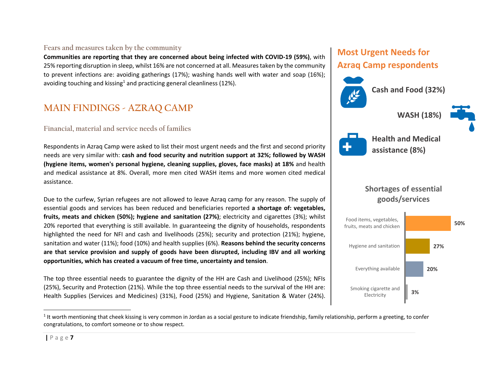### **Fears and measures taken by the community**

**Communities are reporting that they are concerned about being infected with COVID‐19 (59%)**, with 25% reporting disruption in sleep, whilst 16% are not concerned at all. Measures taken by the community to prevent infections are: avoiding gatherings (17%); washing hands well with water and soap (16%); avoiding touching and kissing<sup>1</sup> and practicing general cleanliness (12%).

# **MAIN FINDINGS - AZRAQ CAMP**

### **Financial, material and service needs of families**

Respondents in Azraq Camp were asked to list their most urgent needs and the first and second priority needs are very similar with: **cash and food security and nutrition support at 32%; followed by WASH (hygiene items, women's personal hygiene, cleaning supplies, gloves, face masks) at 18%** and health and medical assistance at 8%. Overall, more men cited WASH items and more women cited medical assistance.

Due to the curfew, Syrian refugees are not allowed to leave Azraq camp for any reason. The supply of essential goods and services has been reduced and beneficiaries reported **<sup>a</sup> shortage of: vegetables, fruits, meats and chicken (50%); hygiene and sanitation (27%)**; electricity and cigarettes (3%); whilst 20% reported that everything is still available. In guaranteeing the dignity of households, respondents highlighted the need for NFI and cash and livelihoods (25%); security and protection (21%); hygiene, sanitation and water (11%); food (10%) and health supplies (6%). **Reasons behind the security concerns**  are that service provision and supply of goods have been disrupted, including IBV and all working **opportunities, which has created a vacuum of free time, uncertainty and tension**.

The top three essential needs to guarantee the dignity of the HH are Cash and Livelihood (25%); NFIs (25%), Security and Protection (21%). While the top three essential needs to the survival of the HH are: Health Supplies (Services and Medicines) (31%), Food (25%) and Hygiene, Sanitation & Water (24%).

# **Most Urgent Needs for**

# **Azraq Camp respondents**



**Cash and Food (32%)**

**WASH (18%)**





**Health and Medical assistance (8%)** 

# **Shortages of essential goods/services**



 $1$  It worth mentioning that cheek kissing is very common in Jordan as a social gesture to indicate friendship, family relationship, perform a greeting, to confer congratulations, to comfort someone or to show respect.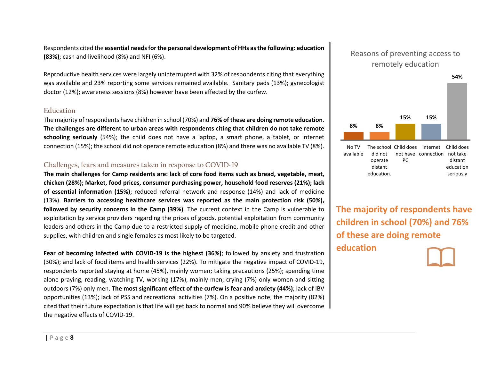Respondents cited the **essential needs for the personal development of HHs as the following: education (83%)**; cash and livelihood (8%) and NFI (6%).

Reproductive health services were largely uninterrupted with 32% of respondents citing that everything was available and 23% reporting some services remained available. Sanitary pads (13%); gynecologist doctor (12%); awareness sessions (8%) however have been affected by the curfew.

#### **Education**

The majority of respondents have children in school (70%) and **76% of these are doing remote education**. **The challenges are different to urban areas with respondents citing that children do not take remote schooling seriously** (54%); the child does not have <sup>a</sup> laptop, <sup>a</sup> smart phone, <sup>a</sup> tablet, or internet connection (15%); the school did not operate remote education (8%) and there was no available TV (8%).

### **Challenges, fears and measures taken in response to COVID-19**

**The main challenges for Camp residents are: lack of core food items such as bread, vegetable, meat, chicken (28%); Market, food prices, consumer purchasing power, household food reserves (21%); lack of essential information (15%)**; reduced referral network and response (14%) and lack of medicine (13%). Barriers to accessing healthcare services was reported as the main protection risk (50%), **followed by security concerns in the Camp (39%)**. The current context in the Camp is vulnerable to exploitation by service providers regarding the prices of goods, potential exploitation from community leaders and others in the Camp due to a restricted supply of medicine, mobile phone credit and other supplies, with children and single females as most likely to be targeted.

Fear of becoming infected with COVID-19 is the highest (36%); followed by anxiety and frustration (30%); and lack of food items and health services (22%). To mitigate the negative impact of COVID‐19, respondents reported staying at home (45%), mainly women; taking precautions (25%); spending time alone praying, reading, watching TV, working (17%), mainly men; crying (7%) only women and sitting outdoors (7%) only men. **The most significant effect of the curfew is fear and anxiety (44%)**; lack of IBV opportunities (13%); lack of PSS and recreational activities (7%). On a positive note, the majority (82%) cited that their future expectation is that life will get back to normal and 90% believe they will overcome the negative effects of COVID‐19.

# Reasons of preventing access to remotely education



**The majority of respondents have children in school (70%) and 76% of these are doing remote education**

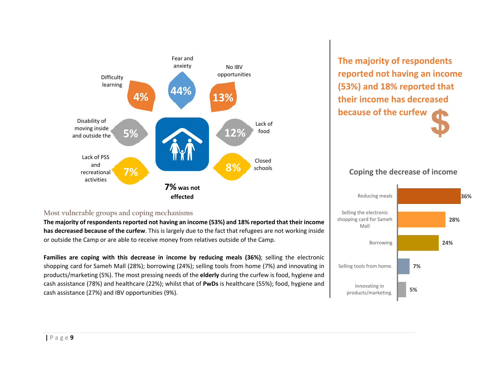

**The majority of respondents reported not having an income (53%) and 18% reported that their income has decreased because of the curfew**

### **Coping the decrease of income**

**Most vulnerable groups and coping mechanisms** 

**The majority of respondents reported not having an income (53%) and 18% reported that their income has decreased because of the curfew**. This is largely due to the fact that refugees are not working inside or outside the Camp or are able to receive money from relatives outside of the Camp.

Families are coping with this decrease in income by reducing meals (36%); selling the electronic shopping card for Sameh Mall (28%); borrowing (24%); selling tools from home (7%) and innovating in products/marketing (5%). The most pressing needs of the **elderly** during the curfew is food, hygiene and cash assistance (78%) and healthcare (22%); whilst that of **PwDs** is healthcare (55%); food, hygiene and cash assistance (27%) and IBV opportunities (9%).